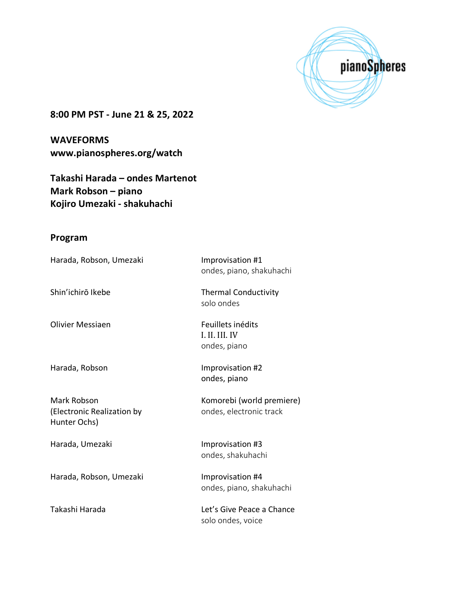

**8:00 PM PST - June 21 & 25, 2022**

**WAVEFORMS www.pianospheres.org/watch**

**Takashi Harada – ondes Martenot Mark Robson – piano Kojiro Umezaki - shakuhachi**

## **Program**

| Harada, Robson, Umezaki                                   | Improvisation #1<br>ondes, piano, shakuhachi         |
|-----------------------------------------------------------|------------------------------------------------------|
| Shin'ichirō Ikebe                                         | <b>Thermal Conductivity</b><br>solo ondes            |
| <b>Olivier Messiaen</b>                                   | Feuillets inédits<br>I. II. III. IV<br>ondes, piano  |
| Harada, Robson                                            | Improvisation #2<br>ondes, piano                     |
| Mark Robson<br>(Electronic Realization by<br>Hunter Ochs) | Komorebi (world premiere)<br>ondes, electronic track |
| Harada, Umezaki                                           | Improvisation #3<br>ondes, shakuhachi                |
| Harada, Robson, Umezaki                                   | Improvisation #4<br>ondes, piano, shakuhachi         |
| Takashi Harada                                            | Let's Give Peace a Chance<br>solo ondes, voice       |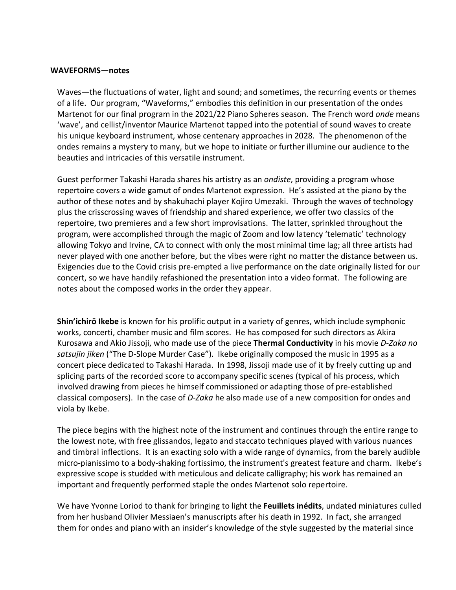## **WAVEFORMS—notes**

Waves—the fluctuations of water, light and sound; and sometimes, the recurring events or themes of a life. Our program, "Waveforms," embodies this definition in our presentation of the ondes Martenot for our final program in the 2021/22 Piano Spheres season. The French word *onde* means 'wave', and cellist/inventor Maurice Martenot tapped into the potential of sound waves to create his unique keyboard instrument, whose centenary approaches in 2028. The phenomenon of the ondes remains a mystery to many, but we hope to initiate or further illumine our audience to the beauties and intricacies of this versatile instrument.

Guest performer Takashi Harada shares his artistry as an *ondiste*, providing a program whose repertoire covers a wide gamut of ondes Martenot expression. He's assisted at the piano by the author of these notes and by shakuhachi player Kojiro Umezaki. Through the waves of technology plus the crisscrossing waves of friendship and shared experience, we offer two classics of the repertoire, two premieres and a few short improvisations. The latter, sprinkled throughout the program, were accomplished through the magic of Zoom and low latency 'telematic' technology allowing Tokyo and Irvine, CA to connect with only the most minimal time lag; all three artists had never played with one another before, but the vibes were right no matter the distance between us. Exigencies due to the Covid crisis pre-empted a live performance on the date originally listed for our concert, so we have handily refashioned the presentation into a video format. The following are notes about the composed works in the order they appear.

**Shin'ichirō Ikebe** is known for his prolific output in a variety of genres, which include symphonic works, concerti, chamber music and film scores. He has composed for such directors as Akira Kurosawa and Akio Jissoji, who made use of the piece **Thermal Conductivity** in his movie *D-Zaka no satsujin jiken* ("The D-Slope Murder Case"). Ikebe originally composed the music in 1995 as a concert piece dedicated to Takashi Harada. In 1998, Jissoji made use of it by freely cutting up and splicing parts of the recorded score to accompany specific scenes (typical of his process, which involved drawing from pieces he himself commissioned or adapting those of pre-established classical composers). In the case of *D-Zaka* he also made use of a new composition for ondes and viola by Ikebe.

The piece begins with the highest note of the instrument and continues through the entire range to the lowest note, with free glissandos, legato and staccato techniques played with various nuances and timbral inflections. It is an exacting solo with a wide range of dynamics, from the barely audible micro-pianissimo to a body-shaking fortissimo, the instrument's greatest feature and charm. Ikebe's expressive scope is studded with meticulous and delicate calligraphy; his work has remained an important and frequently performed staple the ondes Martenot solo repertoire.

We have Yvonne Loriod to thank for bringing to light the **Feuillets inédits**, undated miniatures culled from her husband Olivier Messiaen's manuscripts after his death in 1992. In fact, she arranged them for ondes and piano with an insider's knowledge of the style suggested by the material since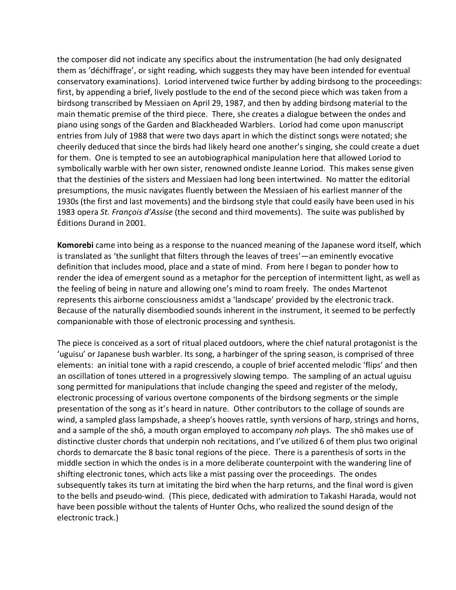the composer did not indicate any specifics about the instrumentation (he had only designated them as 'déchiffrage', or sight reading, which suggests they may have been intended for eventual conservatory examinations). Loriod intervened twice further by adding birdsong to the proceedings: first, by appending a brief, lively postlude to the end of the second piece which was taken from a birdsong transcribed by Messiaen on April 29, 1987, and then by adding birdsong material to the main thematic premise of the third piece. There, she creates a dialogue between the ondes and piano using songs of the Garden and Blackheaded Warblers. Loriod had come upon manuscript entries from July of 1988 that were two days apart in which the distinct songs were notated; she cheerily deduced that since the birds had likely heard one another's singing, she could create a duet for them. One is tempted to see an autobiographical manipulation here that allowed Loriod to symbolically warble with her own sister, renowned ondiste Jeanne Loriod. This makes sense given that the destinies of the sisters and Messiaen had long been intertwined. No matter the editorial presumptions, the music navigates fluently between the Messiaen of his earliest manner of the 1930s (the first and last movements) and the birdsong style that could easily have been used in his 1983 opera *St. François d'Assise* (the second and third movements). The suite was published by Éditions Durand in 2001.

**Komorebi** came into being as a response to the nuanced meaning of the Japanese word itself, which is translated as 'the sunlight that filters through the leaves of trees'—an eminently evocative definition that includes mood, place and a state of mind. From here I began to ponder how to render the idea of emergent sound as a metaphor for the perception of intermittent light, as well as the feeling of being in nature and allowing one's mind to roam freely. The ondes Martenot represents this airborne consciousness amidst a 'landscape' provided by the electronic track. Because of the naturally disembodied sounds inherent in the instrument, it seemed to be perfectly companionable with those of electronic processing and synthesis.

The piece is conceived as a sort of ritual placed outdoors, where the chief natural protagonist is the 'uguisu' or Japanese bush warbler. Its song, a harbinger of the spring season, is comprised of three elements: an initial tone with a rapid crescendo, a couple of brief accented melodic 'flips' and then an oscillation of tones uttered in a progressively slowing tempo. The sampling of an actual uguisu song permitted for manipulations that include changing the speed and register of the melody, electronic processing of various overtone components of the birdsong segments or the simple presentation of the song as it's heard in nature. Other contributors to the collage of sounds are wind, a sampled glass lampshade, a sheep's hooves rattle, synth versions of harp, strings and horns, and a sample of the shō, a mouth organ employed to accompany *noh* plays. The shō makes use of distinctive cluster chords that underpin noh recitations, and I've utilized 6 of them plus two original chords to demarcate the 8 basic tonal regions of the piece. There is a parenthesis of sorts in the middle section in which the ondes is in a more deliberate counterpoint with the wandering line of shifting electronic tones, which acts like a mist passing over the proceedings. The ondes subsequently takes its turn at imitating the bird when the harp returns, and the final word is given to the bells and pseudo-wind. (This piece, dedicated with admiration to Takashi Harada, would not have been possible without the talents of Hunter Ochs, who realized the sound design of the electronic track.)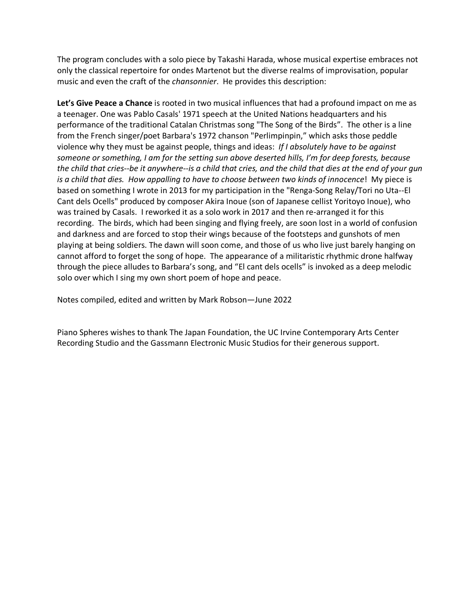The program concludes with a solo piece by Takashi Harada, whose musical expertise embraces not only the classical repertoire for ondes Martenot but the diverse realms of improvisation, popular music and even the craft of the *chansonnier*. He provides this description:

**Let's Give Peace a Chance** is rooted in two musical influences that had a profound impact on me as a teenager. One was Pablo Casals' 1971 speech at the United Nations headquarters and his performance of the traditional Catalan Christmas song "The Song of the Birds". The other is a line from the French singer/poet Barbara's 1972 chanson "Perlimpinpin," which asks those peddle violence why they must be against people, things and ideas: *If I absolutely have to be against someone or something, I am for the setting sun above deserted hills, I'm for deep forests, because the child that cries--be it anywhere--is a child that cries, and the child that dies at the end of your gun is a child that dies. How appalling to have to choose between two kinds of innocence*! My piece is based on something I wrote in 2013 for my participation in the "Renga-Song Relay/Tori no Uta--El Cant dels Ocells" produced by composer Akira Inoue (son of Japanese cellist Yoritoyo Inoue), who was trained by Casals. I reworked it as a solo work in 2017 and then re-arranged it for this recording. The birds, which had been singing and flying freely, are soon lost in a world of confusion and darkness and are forced to stop their wings because of the footsteps and gunshots of men playing at being soldiers. The dawn will soon come, and those of us who live just barely hanging on cannot afford to forget the song of hope. The appearance of a militaristic rhythmic drone halfway through the piece alludes to Barbara's song, and "El cant dels ocells" is invoked as a deep melodic solo over which I sing my own short poem of hope and peace.

Notes compiled, edited and written by Mark Robson—June 2022

Piano Spheres wishes to thank The Japan Foundation, the UC Irvine Contemporary Arts Center Recording Studio and the Gassmann Electronic Music Studios for their generous support.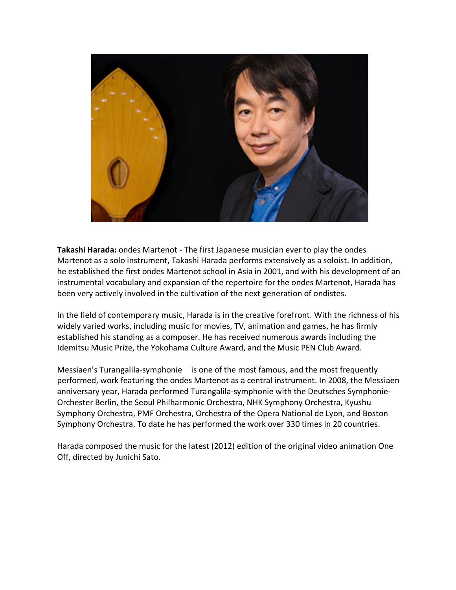

**Takashi Harada:** ondes Martenot - The first Japanese musician ever to play the ondes Martenot as a solo instrument, Takashi Harada performs extensively as a soloist. In addition, he established the first ondes Martenot school in Asia in 2001, and with his development of an instrumental vocabulary and expansion of the repertoire for the ondes Martenot, Harada has been very actively involved in the cultivation of the next generation of ondistes.

In the field of contemporary music, Harada is in the creative forefront. With the richness of his widely varied works, including music for movies, TV, animation and games, he has firmly established his standing as a composer. He has received numerous awards including the Idemitsu Music Prize, the Yokohama Culture Award, and the Music PEN Club Award.

Messiaen's Turangalila-symphonie is one of the most famous, and the most frequently performed, work featuring the ondes Martenot as a central instrument. In 2008, the Messiaen anniversary year, Harada performed Turangalila-symphonie with the Deutsches Symphonie-Orchester Berlin, the Seoul Philharmonic Orchestra, NHK Symphony Orchestra, Kyushu Symphony Orchestra, PMF Orchestra, Orchestra of the Opera National de Lyon, and Boston Symphony Orchestra. To date he has performed the work over 330 times in 20 countries.

Harada composed the music for the latest (2012) edition of the original video animation One Off, directed by Junichi Sato.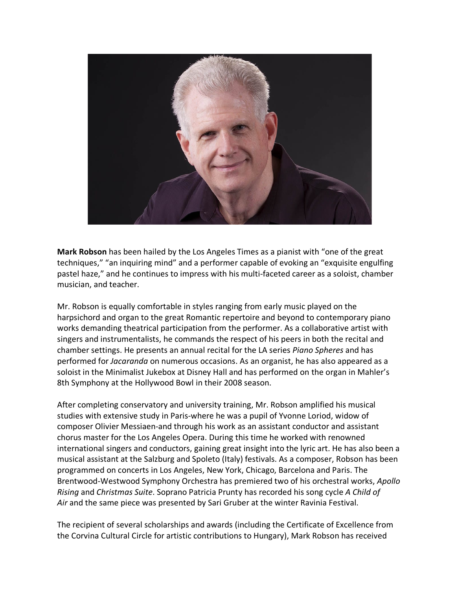

**Mark Robson** has been hailed by the Los Angeles Times as a pianist with "one of the great techniques," "an inquiring mind" and a performer capable of evoking an "exquisite engulfing pastel haze," and he continues to impress with his multi-faceted career as a soloist, chamber musician, and teacher.

Mr. Robson is equally comfortable in styles ranging from early music played on the harpsichord and organ to the great Romantic repertoire and beyond to contemporary piano works demanding theatrical participation from the performer. As a collaborative artist with singers and instrumentalists, he commands the respect of his peers in both the recital and chamber settings. He presents an annual recital for the LA series *Piano Spheres* and has performed for *Jacaranda* on numerous occasions. As an organist, he has also appeared as a soloist in the Minimalist Jukebox at Disney Hall and has performed on the organ in Mahler's 8th Symphony at the Hollywood Bowl in their 2008 season.

After completing conservatory and university training, Mr. Robson amplified his musical studies with extensive study in Paris-where he was a pupil of Yvonne Loriod, widow of composer Olivier Messiaen-and through his work as an assistant conductor and assistant chorus master for the Los Angeles Opera. During this time he worked with renowned international singers and conductors, gaining great insight into the lyric art. He has also been a musical assistant at the Salzburg and Spoleto (Italy) festivals. As a composer, Robson has been programmed on concerts in Los Angeles, New York, Chicago, Barcelona and Paris. The Brentwood-Westwood Symphony Orchestra has premiered two of his orchestral works, *Apollo Rising* and *Christmas Suite*. Soprano Patricia Prunty has recorded his song cycle *A Child of Air* and the same piece was presented by Sari Gruber at the winter Ravinia Festival.

The recipient of several scholarships and awards (including the Certificate of Excellence from the Corvina Cultural Circle for artistic contributions to Hungary), Mark Robson has received